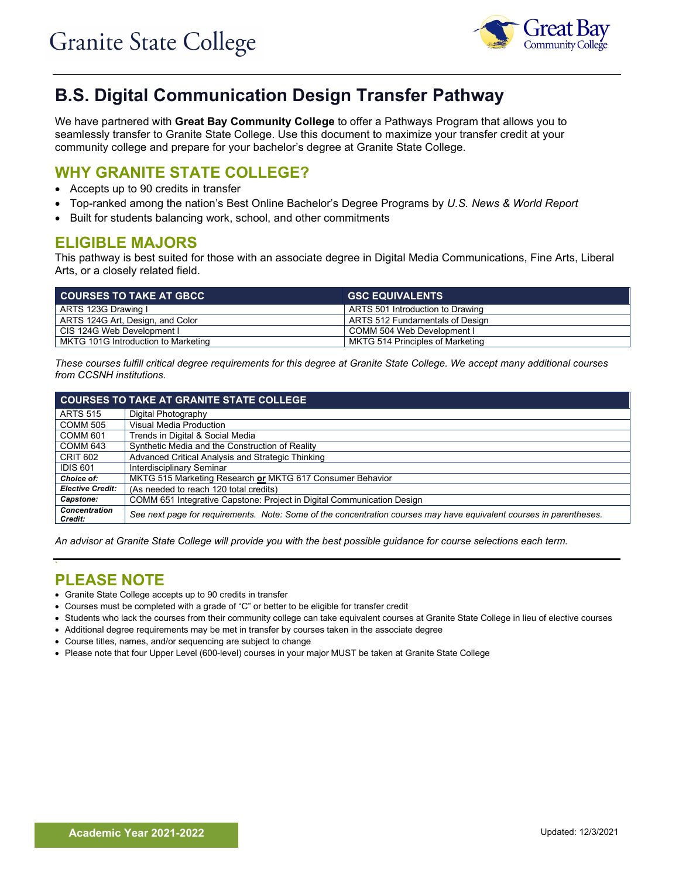

# **B.S. Digital Communication Design Transfer Pathway**

We have partnered with **Great Bay Community College** to offer a Pathways Program that allows you to seamlessly transfer to Granite State College. Use this document to maximize your transfer credit at your community college and prepare for your bachelor's degree at Granite State College.

## **WHY GRANITE STATE COLLEGE?**

- Accepts up to 90 credits in transfer
- Top-ranked among the nation's Best Online Bachelor's Degree Programs by *U.S. News & World Report*
- Built for students balancing work, school, and other commitments

### **ELIGIBLE MAJORS**

This pathway is best suited for those with an associate degree in Digital Media Communications, Fine Arts, Liberal Arts, or a closely related field.

| <b>COURSES TO TAKE AT GBCC</b>      | <b>GSC EQUIVALENTS</b>           |
|-------------------------------------|----------------------------------|
| ARTS 123G Drawing I                 | ARTS 501 Introduction to Drawing |
| ARTS 124G Art, Design, and Color    | ARTS 512 Fundamentals of Design  |
| CIS 124G Web Development I          | COMM 504 Web Development I       |
| MKTG 101G Introduction to Marketing | MKTG 514 Principles of Marketing |

*These courses fulfill critical degree requirements for this degree at Granite State College. We accept many additional courses from CCSNH institutions.*

| <b>COURSES TO TAKE AT GRANITE STATE COLLEGE</b> |                                                                                                                     |  |
|-------------------------------------------------|---------------------------------------------------------------------------------------------------------------------|--|
| <b>ARTS 515</b>                                 | Digital Photography                                                                                                 |  |
| <b>COMM 505</b>                                 | <b>Visual Media Production</b>                                                                                      |  |
| <b>COMM 601</b>                                 | Trends in Digital & Social Media                                                                                    |  |
| COMM 643                                        | Synthetic Media and the Construction of Reality                                                                     |  |
| <b>CRIT 602</b>                                 | Advanced Critical Analysis and Strategic Thinking                                                                   |  |
| <b>IDIS 601</b>                                 | Interdisciplinary Seminar                                                                                           |  |
| Choice of:                                      | MKTG 515 Marketing Research or MKTG 617 Consumer Behavior                                                           |  |
| <b>Elective Credit:</b>                         | (As needed to reach 120 total credits)                                                                              |  |
| Capstone:                                       | COMM 651 Integrative Capstone: Project in Digital Communication Design                                              |  |
| <b>Concentration</b><br>Credit:                 | See next page for requirements. Note: Some of the concentration courses may have equivalent courses in parentheses. |  |

*An advisor at Granite State College will provide you with the best possible guidance for course selections each term.*

#### **` PLEASE NOTE**

- Granite State College accepts up to 90 credits in transfer
- Courses must be completed with a grade of "C" or better to be eligible for transfer credit
- Students who lack the courses from their community college can take equivalent courses at Granite State College in lieu of elective courses
- Additional degree requirements may be met in transfer by courses taken in the associate degree
- Course titles, names, and/or sequencing are subject to change
- Please note that four Upper Level (600-level) courses in your major MUST be taken at Granite State College